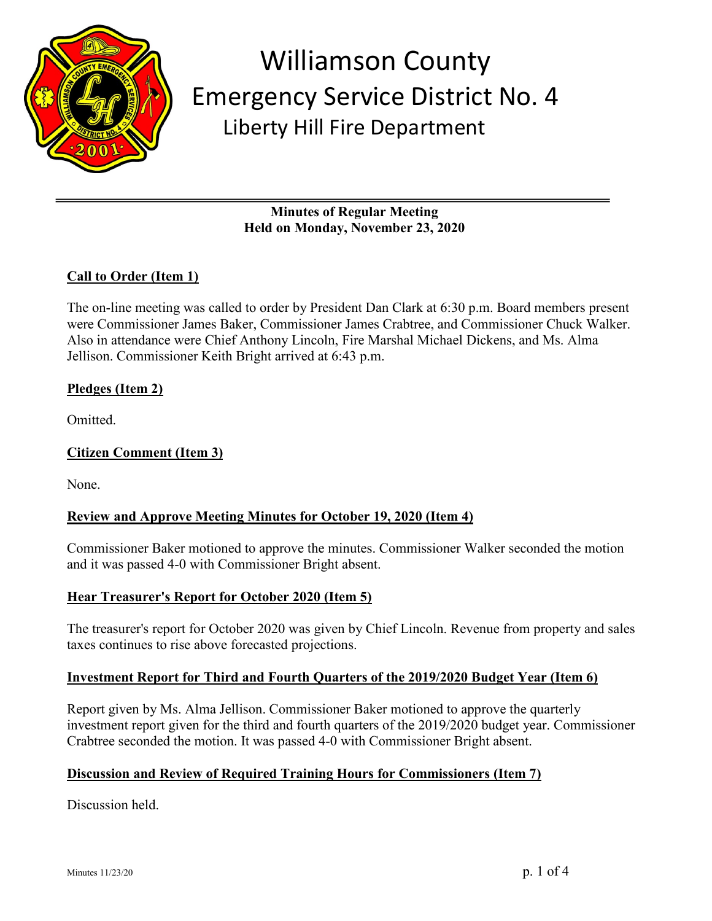

**Minutes of Regular Meeting Held on Monday, November 23, 2020**

## **Call to Order (Item 1)**

The on-line meeting was called to order by President Dan Clark at 6:30 p.m. Board members present were Commissioner James Baker, Commissioner James Crabtree, and Commissioner Chuck Walker. Also in attendance were Chief Anthony Lincoln, Fire Marshal Michael Dickens, and Ms. Alma Jellison. Commissioner Keith Bright arrived at 6:43 p.m.

## **Pledges (Item 2)**

Omitted.

## **Citizen Comment (Item 3)**

None.

## **Review and Approve Meeting Minutes for October 19, 2020 (Item 4)**

Commissioner Baker motioned to approve the minutes. Commissioner Walker seconded the motion and it was passed 4-0 with Commissioner Bright absent.

## **Hear Treasurer's Report for October 2020 (Item 5)**

The treasurer's report for October 2020 was given by Chief Lincoln. Revenue from property and sales taxes continues to rise above forecasted projections.

## **Investment Report for Third and Fourth Quarters of the 2019/2020 Budget Year (Item 6)**

Report given by Ms. Alma Jellison. Commissioner Baker motioned to approve the quarterly investment report given for the third and fourth quarters of the 2019/2020 budget year. Commissioner Crabtree seconded the motion. It was passed 4-0 with Commissioner Bright absent.

## **Discussion and Review of Required Training Hours for Commissioners (Item 7)**

Discussion held.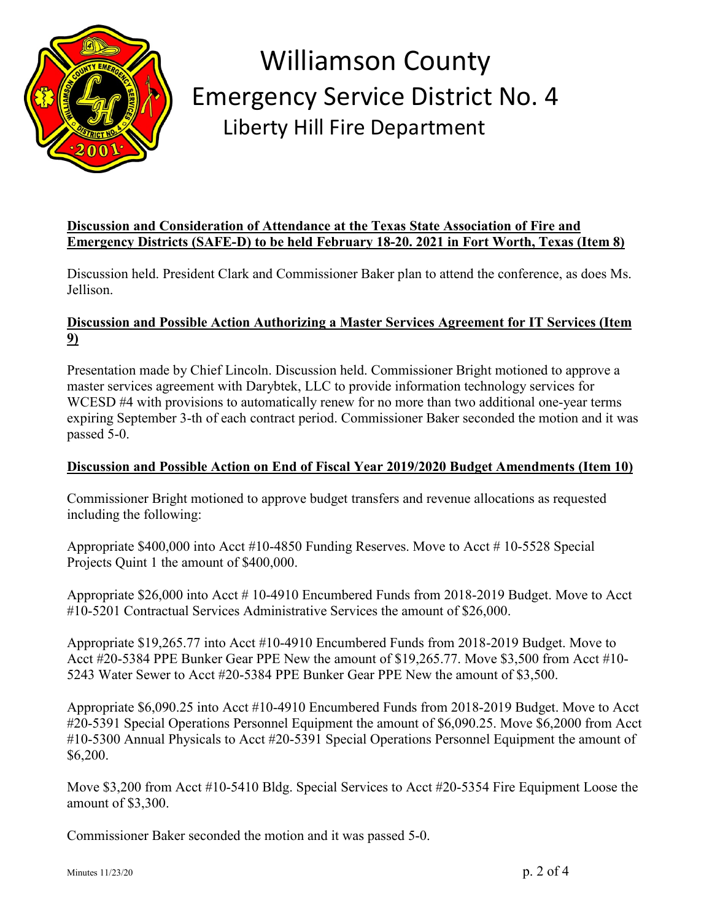

## **Discussion and Consideration of Attendance at the Texas State Association of Fire and Emergency Districts (SAFE-D) to be held February 18-20. 2021 in Fort Worth, Texas (Item 8)**

Discussion held. President Clark and Commissioner Baker plan to attend the conference, as does Ms. Jellison.

## **Discussion and Possible Action Authorizing a Master Services Agreement for IT Services (Item 9)**

Presentation made by Chief Lincoln. Discussion held. Commissioner Bright motioned to approve a master services agreement with Darybtek, LLC to provide information technology services for WCESD #4 with provisions to automatically renew for no more than two additional one-year terms expiring September 3-th of each contract period. Commissioner Baker seconded the motion and it was passed 5-0.

## **Discussion and Possible Action on End of Fiscal Year 2019/2020 Budget Amendments (Item 10)**

Commissioner Bright motioned to approve budget transfers and revenue allocations as requested including the following:

Appropriate \$400,000 into Acct #10-4850 Funding Reserves. Move to Acct # 10-5528 Special Projects Quint 1 the amount of \$400,000.

Appropriate \$26,000 into Acct # 10-4910 Encumbered Funds from 2018-2019 Budget. Move to Acct #10-5201 Contractual Services Administrative Services the amount of \$26,000.

Appropriate \$19,265.77 into Acct #10-4910 Encumbered Funds from 2018-2019 Budget. Move to Acct #20-5384 PPE Bunker Gear PPE New the amount of \$19,265.77. Move \$3,500 from Acct #10- 5243 Water Sewer to Acct #20-5384 PPE Bunker Gear PPE New the amount of \$3,500.

Appropriate \$6,090.25 into Acct #10-4910 Encumbered Funds from 2018-2019 Budget. Move to Acct #20-5391 Special Operations Personnel Equipment the amount of \$6,090.25. Move \$6,2000 from Acct #10-5300 Annual Physicals to Acct #20-5391 Special Operations Personnel Equipment the amount of \$6,200.

Move \$3,200 from Acct #10-5410 Bldg. Special Services to Acct #20-5354 Fire Equipment Loose the amount of \$3,300.

Commissioner Baker seconded the motion and it was passed 5-0.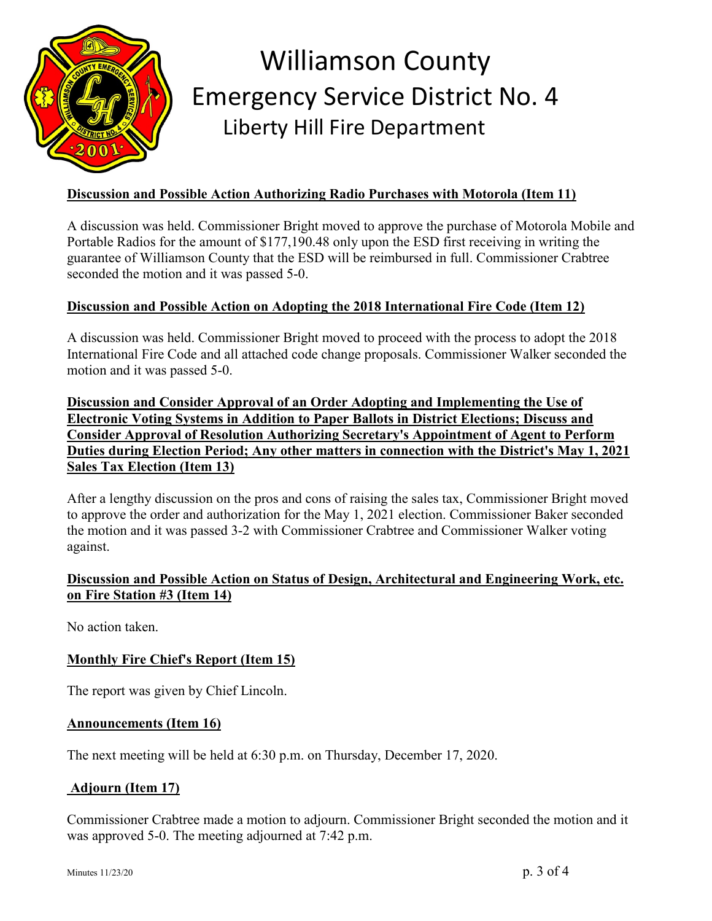

## **Discussion and Possible Action Authorizing Radio Purchases with Motorola (Item 11)**

A discussion was held. Commissioner Bright moved to approve the purchase of Motorola Mobile and Portable Radios for the amount of \$177,190.48 only upon the ESD first receiving in writing the guarantee of Williamson County that the ESD will be reimbursed in full. Commissioner Crabtree seconded the motion and it was passed 5-0.

## **Discussion and Possible Action on Adopting the 2018 International Fire Code (Item 12)**

A discussion was held. Commissioner Bright moved to proceed with the process to adopt the 2018 International Fire Code and all attached code change proposals. Commissioner Walker seconded the motion and it was passed 5-0.

**Discussion and Consider Approval of an Order Adopting and Implementing the Use of Electronic Voting Systems in Addition to Paper Ballots in District Elections; Discuss and Consider Approval of Resolution Authorizing Secretary's Appointment of Agent to Perform Duties during Election Period; Any other matters in connection with the District's May 1, 2021 Sales Tax Election (Item 13)**

After a lengthy discussion on the pros and cons of raising the sales tax, Commissioner Bright moved to approve the order and authorization for the May 1, 2021 election. Commissioner Baker seconded the motion and it was passed 3-2 with Commissioner Crabtree and Commissioner Walker voting against.

## **Discussion and Possible Action on Status of Design, Architectural and Engineering Work, etc. on Fire Station #3 (Item 14)**

No action taken.

## **Monthly Fire Chief's Report (Item 15)**

The report was given by Chief Lincoln.

#### **Announcements (Item 16)**

The next meeting will be held at 6:30 p.m. on Thursday, December 17, 2020.

## **Adjourn (Item 17)**

Commissioner Crabtree made a motion to adjourn. Commissioner Bright seconded the motion and it was approved 5-0. The meeting adjourned at 7:42 p.m.